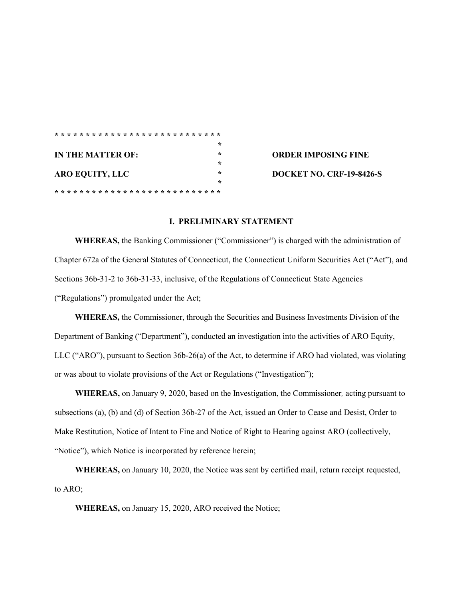|                        | ∗                                    |
|------------------------|--------------------------------------|
| IN THE MATTER OF:      | ÷<br><b>ORDER IMPOSING FINE</b>      |
|                        | ∗                                    |
| <b>ARO EQUITY, LLC</b> | ∗<br><b>DOCKET NO. CRF-19-8426-S</b> |
|                        | ∗                                    |
|                        |                                      |

## **I. PRELIMINARY STATEMENT**

**WHEREAS,** the Banking Commissioner ("Commissioner") is charged with the administration of Chapter 672a of the General Statutes of Connecticut, the Connecticut Uniform Securities Act ("Act"), and Sections 36b-31-2 to 36b-31-33, inclusive, of the Regulations of Connecticut State Agencies ("Regulations") promulgated under the Act;

**WHEREAS,** the Commissioner, through the Securities and Business Investments Division of the Department of Banking ("Department"), conducted an investigation into the activities of ARO Equity, LLC ("ARO"), pursuant to Section 36b-26(a) of the Act, to determine if ARO had violated, was violating or was about to violate provisions of the Act or Regulations ("Investigation");

**WHEREAS,** on January 9, 2020, based on the Investigation, the Commissioner*,* acting pursuant to subsections (a), (b) and (d) of Section 36b-27 of the Act, issued an Order to Cease and Desist, Order to Make Restitution, Notice of Intent to Fine and Notice of Right to Hearing against ARO (collectively, "Notice"), which Notice is incorporated by reference herein;

**WHEREAS,** on January 10, 2020, the Notice was sent by certified mail, return receipt requested, to ARO;

**WHEREAS,** on January 15, 2020, ARO received the Notice;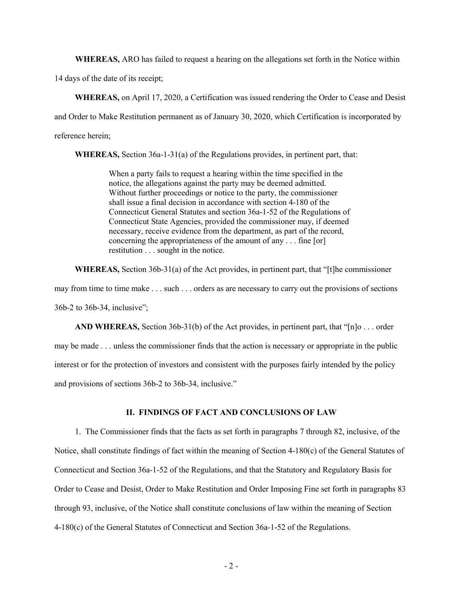**WHEREAS,** ARO has failed to request a hearing on the allegations set forth in the Notice within

14 days of the date of its receipt;

**WHEREAS,** on April 17, 2020, a Certification was issued rendering the Order to Cease and Desist and Order to Make Restitution permanent as of January 30, 2020, which Certification is incorporated by reference herein;

**WHEREAS,** Section 36a-1-31(a) of the Regulations provides, in pertinent part, that:

When a party fails to request a hearing within the time specified in the notice, the allegations against the party may be deemed admitted. Without further proceedings or notice to the party, the commissioner shall issue a final decision in accordance with section 4-180 of the Connecticut General Statutes and section 36a-1-52 of the Regulations of Connecticut State Agencies, provided the commissioner may, if deemed necessary, receive evidence from the department, as part of the record, concerning the appropriateness of the amount of any . . . fine [or] restitution . . . sought in the notice.

**WHEREAS,** Section 36b-31(a) of the Act provides, in pertinent part, that "[t]he commissioner may from time to time make . . . such . . . orders as are necessary to carry out the provisions of sections 36b-2 to 36b-34, inclusive";

**AND WHEREAS,** Section 36b-31(b) of the Act provides, in pertinent part, that "[n]o . . . order may be made . . . unless the commissioner finds that the action is necessary or appropriate in the public interest or for the protection of investors and consistent with the purposes fairly intended by the policy and provisions of sections 36b-2 to 36b-34, inclusive."

## **II. FINDINGS OF FACT AND CONCLUSIONS OF LAW**

1. The Commissioner finds that the facts as set forth in paragraphs 7 through 82, inclusive, of the Notice, shall constitute findings of fact within the meaning of Section 4-180(c) of the General Statutes of Connecticut and Section 36a-1-52 of the Regulations, and that the Statutory and Regulatory Basis for Order to Cease and Desist, Order to Make Restitution and Order Imposing Fine set forth in paragraphs 83 through 93, inclusive, of the Notice shall constitute conclusions of law within the meaning of Section 4-180(c) of the General Statutes of Connecticut and Section 36a-1-52 of the Regulations.